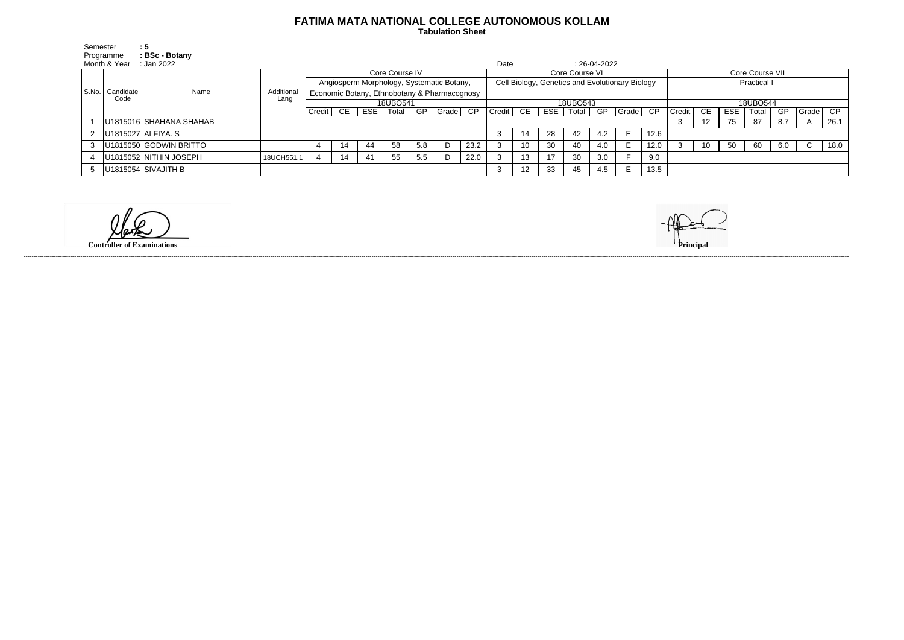## **FATIMA MATA NATIONAL COLLEGE AUTONOMOUS KOLLAM**

 **Tabulation Sheet** 

| Semester     |                           | :5                      |            |                                              |     |            |       |     |       |                                                 |          |                   |     |       |                |                           |                    |        |     |     |       |     |       |      |
|--------------|---------------------------|-------------------------|------------|----------------------------------------------|-----|------------|-------|-----|-------|-------------------------------------------------|----------|-------------------|-----|-------|----------------|---------------------------|--------------------|--------|-----|-----|-------|-----|-------|------|
| Programme    |                           | : BSc - Botany          |            |                                              |     |            |       |     |       |                                                 |          |                   |     |       |                |                           |                    |        |     |     |       |     |       |      |
| Month & Year |                           | Jan 2022                |            |                                              |     |            |       |     |       |                                                 |          |                   |     |       | $: 26-04-2022$ |                           |                    |        |     |     |       |     |       |      |
|              | S.No.   Candidate<br>Code | Name                    |            | Core Course IV                               |     |            |       |     |       | Core Course VI                                  |          |                   |     |       |                |                           | Core Course VII    |        |     |     |       |     |       |      |
|              |                           |                         |            | Angiosperm Morphology, Systematic Botany,    |     |            |       |     |       | Cell Biology, Genetics and Evolutionary Biology |          |                   |     |       |                |                           | <b>Practical I</b> |        |     |     |       |     |       |      |
|              |                           |                         | Additional | Economic Botany, Ethnobotany & Pharmacognosy |     |            |       |     |       |                                                 |          |                   |     |       |                |                           |                    |        |     |     |       |     |       |      |
|              |                           |                         | Lang       | 18UBO541                                     |     |            |       |     |       |                                                 | 18UBO543 |                   |     |       |                |                           | 18UBO544           |        |     |     |       |     |       |      |
|              |                           |                         |            | Credit                                       | CE. | <b>ESE</b> | Total | GP  | Grade | CP                                              | Credit   | CE                | ESE | Total | GP             | $ Grade $ $\overline{CP}$ |                    | Credit | CE. | ESE | Total | GP  | Grade | CP   |
|              |                           | U1815016 SHAHANA SHAHAB |            |                                              |     |            |       |     |       |                                                 |          |                   |     |       |                |                           |                    |        | 12  | 75  | 87    | 8.7 |       | 26.1 |
| $2^{\circ}$  |                           | U1815027 ALFIYA. S      |            |                                              |     |            |       |     |       |                                                 |          | 14                | 28  | 42    | 4.2            | E.                        | 12.6               |        |     |     |       |     |       |      |
| 3            |                           | U1815050 GODWIN BRITTO  |            |                                              | 14  | 44         | 58    | 5.8 |       | 23.2                                            |          | 10                | 30  | 40    | 4.0            |                           | 12.0               |        | 10  | -50 | 60    | 6.0 | C     | 18.0 |
|              |                           | U1815052 NITHIN JOSEPH  | 18UCH551.1 |                                              | 14  | 41         | 55    | 5.5 |       | 22.0                                            |          | 13                | 17  | 30    | 3.0            |                           | 9.0                |        |     |     |       |     |       |      |
| 5            |                           | U1815054 SIVAJITH B     |            |                                              |     |            |       |     |       |                                                 |          | $12 \overline{ }$ | 33  | 45    | 4.5            | E                         | 13.5               |        |     |     |       |     |       |      |

**Controller of Examinations Principal**



------------------------------------------------------------------------------------------------------------------------------------------------------------------------------------------------------------------------------------------------------------------------------------------------------------------------------------------------------------------------------------------------------------------------